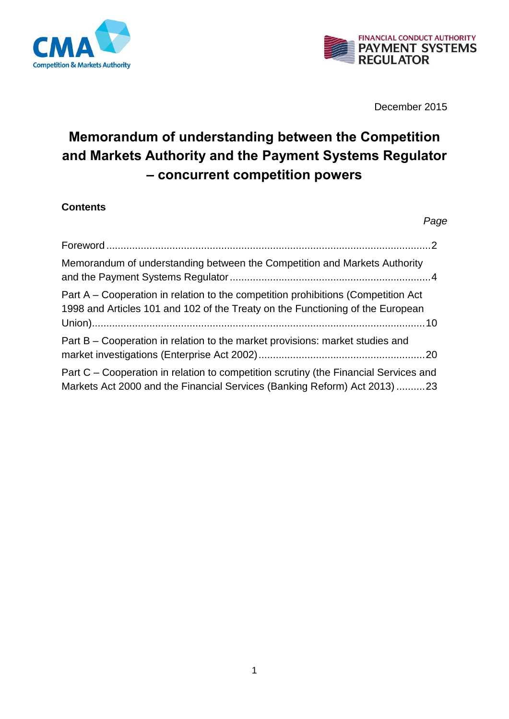



December 2015

*Page*

# **Memorandum of understanding between the Competition and Markets Authority and the Payment Systems Regulator – concurrent competition powers**

## **Contents**

| Memorandum of understanding between the Competition and Markets Authority                                                                                           |
|---------------------------------------------------------------------------------------------------------------------------------------------------------------------|
| Part A – Cooperation in relation to the competition prohibitions (Competition Act<br>1998 and Articles 101 and 102 of the Treaty on the Functioning of the European |
| Part B – Cooperation in relation to the market provisions: market studies and                                                                                       |
| Part C – Cooperation in relation to competition scrutiny (the Financial Services and<br>Markets Act 2000 and the Financial Services (Banking Reform) Act 2013) 23   |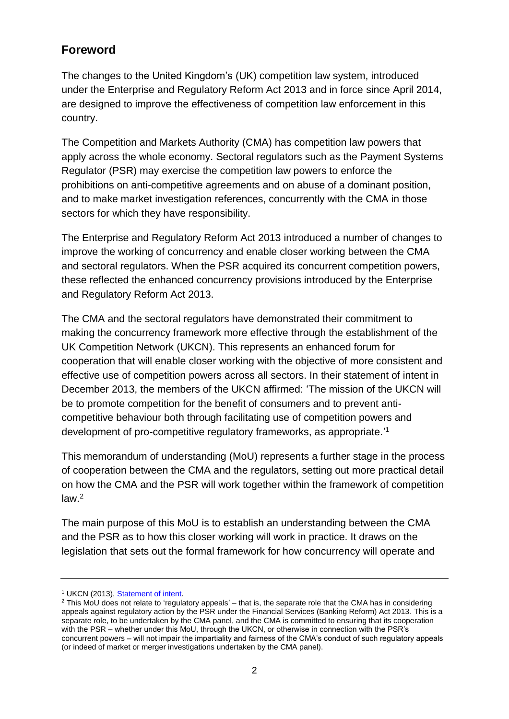# <span id="page-1-0"></span>**Foreword**

The changes to the United Kingdom's (UK) competition law system, introduced under the Enterprise and Regulatory Reform Act 2013 and in force since April 2014, are designed to improve the effectiveness of competition law enforcement in this country.

The Competition and Markets Authority (CMA) has competition law powers that apply across the whole economy. Sectoral regulators such as the Payment Systems Regulator (PSR) may exercise the competition law powers to enforce the prohibitions on anti-competitive agreements and on abuse of a dominant position, and to make market investigation references, concurrently with the CMA in those sectors for which they have responsibility.

The Enterprise and Regulatory Reform Act 2013 introduced a number of changes to improve the working of concurrency and enable closer working between the CMA and sectoral regulators. When the PSR acquired its concurrent competition powers, these reflected the enhanced concurrency provisions introduced by the Enterprise and Regulatory Reform Act 2013.

The CMA and the sectoral regulators have demonstrated their commitment to making the concurrency framework more effective through the establishment of the UK Competition Network (UKCN). This represents an enhanced forum for cooperation that will enable closer working with the objective of more consistent and effective use of competition powers across all sectors. In their statement of intent in December 2013, the members of the UKCN affirmed: 'The mission of the UKCN will be to promote competition for the benefit of consumers and to prevent anticompetitive behaviour both through facilitating use of competition powers and development of pro-competitive regulatory frameworks, as appropriate.' 1

This memorandum of understanding (MoU) represents a further stage in the process of cooperation between the CMA and the regulators, setting out more practical detail on how the CMA and the PSR will work together within the framework of competition  $law.<sup>2</sup>$ 

The main purpose of this MoU is to establish an understanding between the CMA and the PSR as to how this closer working will work in practice. It draws on the legislation that sets out the formal framework for how concurrency will operate and

<sup>1</sup> UKCN (2013), [Statement of intent.](https://www.gov.uk/government/publications/uk-competition-network-statement-of-intent)

 $2$  This MoU does not relate to 'regulatory appeals' – that is, the separate role that the CMA has in considering appeals against regulatory action by the PSR under the Financial Services (Banking Reform) Act 2013. This is a separate role, to be undertaken by the CMA panel, and the CMA is committed to ensuring that its cooperation with the PSR – whether under this MoU, through the UKCN, or otherwise in connection with the PSR's concurrent powers – will not impair the impartiality and fairness of the CMA's conduct of such regulatory appeals (or indeed of market or merger investigations undertaken by the CMA panel).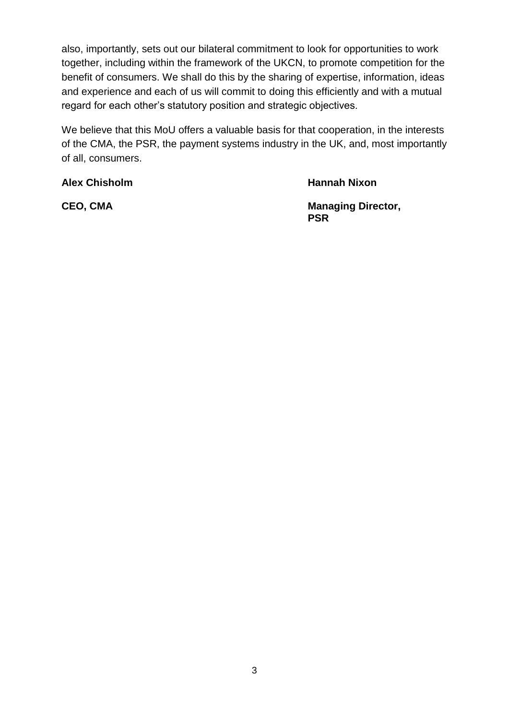also, importantly, sets out our bilateral commitment to look for opportunities to work together, including within the framework of the UKCN, to promote competition for the benefit of consumers. We shall do this by the sharing of expertise, information, ideas and experience and each of us will commit to doing this efficiently and with a mutual regard for each other's statutory position and strategic objectives.

We believe that this MoU offers a valuable basis for that cooperation, in the interests of the CMA, the PSR, the payment systems industry in the UK, and, most importantly of all, consumers.

**Alex Chisholm Community Chisholm** Hannah Nixon

**CEO, CMA Managing Director, PSR**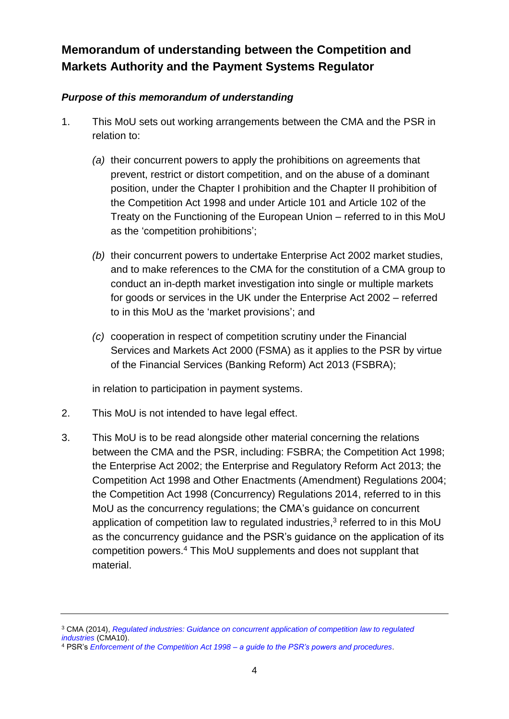# <span id="page-3-0"></span>**Memorandum of understanding between the Competition and Markets Authority and the Payment Systems Regulator**

# *Purpose of this memorandum of understanding*

- <span id="page-3-1"></span>1. This MoU sets out working arrangements between the CMA and the PSR in relation to:
	- *(a)* their concurrent powers to apply the prohibitions on agreements that prevent, restrict or distort competition, and on the abuse of a dominant position, under the Chapter I prohibition and the Chapter II prohibition of the Competition Act 1998 and under Article 101 and Article 102 of the Treaty on the Functioning of the European Union – referred to in this MoU as the 'competition prohibitions';
	- *(b)* their concurrent powers to undertake Enterprise Act 2002 market studies, and to make references to the CMA for the constitution of a CMA group to conduct an in-depth market investigation into single or multiple markets for goods or services in the UK under the Enterprise Act 2002 – referred to in this MoU as the 'market provisions'; and
	- *(c)* cooperation in respect of competition scrutiny under the Financial Services and Markets Act 2000 (FSMA) as it applies to the PSR by virtue of the Financial Services (Banking Reform) Act 2013 (FSBRA);

in relation to participation in payment systems.

- 2. This MoU is not intended to have legal effect.
- 3. This MoU is to be read alongside other material concerning the relations between the CMA and the PSR, including: FSBRA; the Competition Act 1998; the Enterprise Act 2002; the Enterprise and Regulatory Reform Act 2013; the Competition Act 1998 and Other Enactments (Amendment) Regulations 2004; the Competition Act 1998 (Concurrency) Regulations 2014, referred to in this MoU as the concurrency regulations; the CMA's guidance on concurrent application of competition law to regulated industries,<sup>3</sup> referred to in this MoU as the concurrency guidance and the PSR's guidance on the application of its competition powers. <sup>4</sup> This MoU supplements and does not supplant that material.

<sup>3</sup> CMA (2014), *[Regulated industries: Guidance on concurrent application of competition law to regulated](https://www.gov.uk/government/publications/guidance-on-concurrent-application-of-competition-law-to-regulated-industries)  [industries](https://www.gov.uk/government/publications/guidance-on-concurrent-application-of-competition-law-to-regulated-industries)* (CMA10).

<sup>4</sup> PSR's *[Enforcement of the Competition Act 1998 –](https://www.psr.org.uk/sites/default/files/media/PDF/PSR_PS15_2.1_Competition_Act_CA98_Guidance.pdf) a guide to the PSR's powers and procedures*.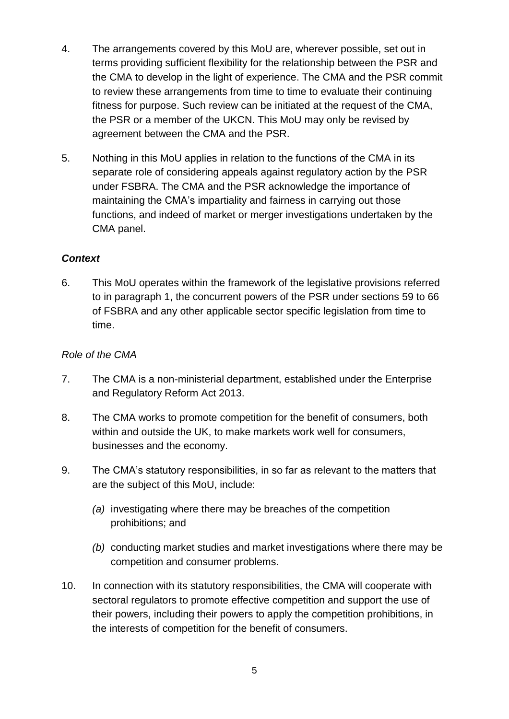- 4. The arrangements covered by this MoU are, wherever possible, set out in terms providing sufficient flexibility for the relationship between the PSR and the CMA to develop in the light of experience. The CMA and the PSR commit to review these arrangements from time to time to evaluate their continuing fitness for purpose. Such review can be initiated at the request of the CMA, the PSR or a member of the UKCN. This MoU may only be revised by agreement between the CMA and the PSR.
- 5. Nothing in this MoU applies in relation to the functions of the CMA in its separate role of considering appeals against regulatory action by the PSR under FSBRA. The CMA and the PSR acknowledge the importance of maintaining the CMA's impartiality and fairness in carrying out those functions, and indeed of market or merger investigations undertaken by the CMA panel.

## <span id="page-4-0"></span>*Context*

6. This MoU operates within the framework of the legislative provisions referred to in paragraph [1,](#page-3-1) the concurrent powers of the PSR under sections 59 to 66 of FSBRA and any other applicable sector specific legislation from time to time.

# *Role of the CMA*

- 7. The CMA is a non-ministerial department, established under the Enterprise and Regulatory Reform Act 2013.
- 8. The CMA works to promote competition for the benefit of consumers, both within and outside the UK, to make markets work well for consumers, businesses and the economy.
- 9. The CMA's statutory responsibilities, in so far as relevant to the matters that are the subject of this MoU, include:
	- *(a)* investigating where there may be breaches of the competition prohibitions; and
	- *(b)* conducting market studies and market investigations where there may be competition and consumer problems.
- 10. In connection with its statutory responsibilities, the CMA will cooperate with sectoral regulators to promote effective competition and support the use of their powers, including their powers to apply the competition prohibitions, in the interests of competition for the benefit of consumers.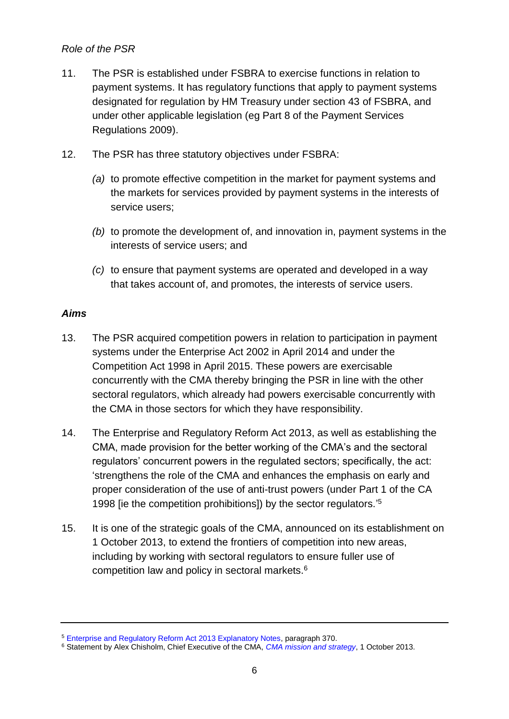### *Role of the PSR*

- 11. The PSR is established under FSBRA to exercise functions in relation to payment systems. It has regulatory functions that apply to payment systems designated for regulation by HM Treasury under section 43 of FSBRA, and under other applicable legislation (eg Part 8 of the Payment Services Regulations 2009).
- 12. The PSR has three statutory objectives under FSBRA:
	- *(a)* to promote effective competition in the market for payment systems and the markets for services provided by payment systems in the interests of service users;
	- *(b)* to promote the development of, and innovation in, payment systems in the interests of service users; and
	- *(c)* to ensure that payment systems are operated and developed in a way that takes account of, and promotes, the interests of service users.

#### *Aims*

- 13. The PSR acquired competition powers in relation to participation in payment systems under the Enterprise Act 2002 in April 2014 and under the Competition Act 1998 in April 2015. These powers are exercisable concurrently with the CMA thereby bringing the PSR in line with the other sectoral regulators, which already had powers exercisable concurrently with the CMA in those sectors for which they have responsibility.
- 14. The Enterprise and Regulatory Reform Act 2013, as well as establishing the CMA, made provision for the better working of the CMA's and the sectoral regulators' concurrent powers in the regulated sectors; specifically, the act: 'strengthens the role of the CMA and enhances the emphasis on early and proper consideration of the use of anti-trust powers (under Part 1 of the CA 1998 [ie the competition prohibitions]) by the sector regulators.' 5
- 15. It is one of the strategic goals of the CMA, announced on its establishment on 1 October 2013, to extend the frontiers of competition into new areas, including by working with sectoral regulators to ensure fuller use of competition law and policy in sectoral markets.<sup>6</sup>

<sup>5</sup> [Enterprise and Regulatory Reform Act 2013 Explanatory Notes,](http://www.legislation.gov.uk/ukpga/2013/24/notes) paragraph 370.

<sup>6</sup> Statement by Alex Chisholm, Chief Executive of the CMA, *[CMA mission and strategy](https://www.gov.uk/government/speeches/cma-mission-and-strategy)*, 1 October 2013.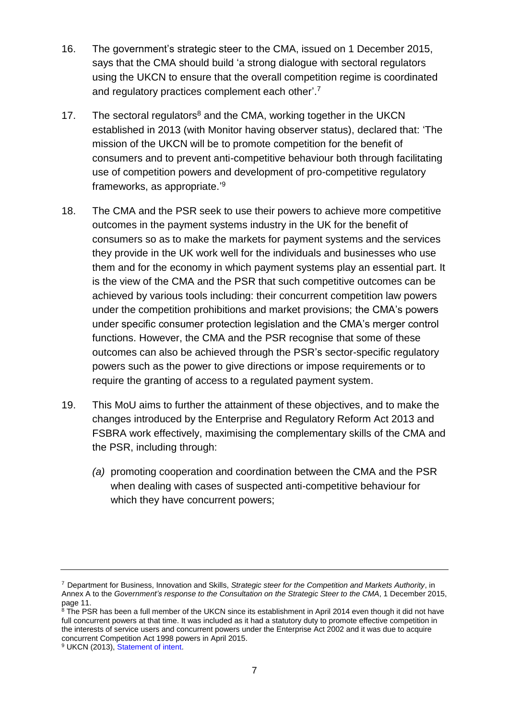- 16. The government's strategic steer to the CMA, issued on 1 December 2015, says that the CMA should build 'a strong dialogue with sectoral regulators using the UKCN to ensure that the overall competition regime is coordinated and regulatory practices complement each other'.<sup>7</sup>
- 17. The sectoral regulators<sup>8</sup> and the CMA, working together in the UKCN established in 2013 (with Monitor having observer status), declared that: 'The mission of the UKCN will be to promote competition for the benefit of consumers and to prevent anti-competitive behaviour both through facilitating use of competition powers and development of pro-competitive regulatory frameworks, as appropriate.'<sup>9</sup>
- 18. The CMA and the PSR seek to use their powers to achieve more competitive outcomes in the payment systems industry in the UK for the benefit of consumers so as to make the markets for payment systems and the services they provide in the UK work well for the individuals and businesses who use them and for the economy in which payment systems play an essential part. It is the view of the CMA and the PSR that such competitive outcomes can be achieved by various tools including: their concurrent competition law powers under the competition prohibitions and market provisions; the CMA's powers under specific consumer protection legislation and the CMA's merger control functions. However, the CMA and the PSR recognise that some of these outcomes can also be achieved through the PSR's sector-specific regulatory powers such as the power to give directions or impose requirements or to require the granting of access to a regulated payment system.
- 19. This MoU aims to further the attainment of these objectives, and to make the changes introduced by the Enterprise and Regulatory Reform Act 2013 and FSBRA work effectively, maximising the complementary skills of the CMA and the PSR, including through:
	- *(a)* promoting cooperation and coordination between the CMA and the PSR when dealing with cases of suspected anti-competitive behaviour for which they have concurrent powers;

<sup>7</sup> Department for Business, Innovation and Skills, *Strategic steer for the Competition and Markets Authority*, in Annex A to the *Government's response to the Consultation on the Strategic Steer to the CMA*, 1 December 2015, page 11.

<sup>&</sup>lt;sup>8</sup> The PSR has been a full member of the UKCN since its establishment in April 2014 even though it did not have full concurrent powers at that time. It was included as it had a statutory duty to promote effective competition in the interests of service users and concurrent powers under the Enterprise Act 2002 and it was due to acquire concurrent Competition Act 1998 powers in April 2015.

<sup>9</sup> UKCN (2013), [Statement of intent.](https://www.gov.uk/government/publications/uk-competition-network-statement-of-intent)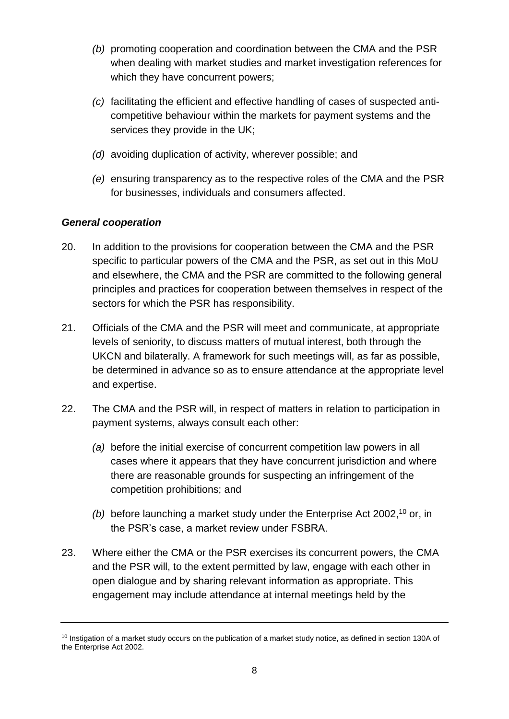- *(b)* promoting cooperation and coordination between the CMA and the PSR when dealing with market studies and market investigation references for which they have concurrent powers;
- *(c)* facilitating the efficient and effective handling of cases of suspected anticompetitive behaviour within the markets for payment systems and the services they provide in the UK;
- *(d)* avoiding duplication of activity, wherever possible; and
- *(e)* ensuring transparency as to the respective roles of the CMA and the PSR for businesses, individuals and consumers affected.

#### *General cooperation*

- 20. In addition to the provisions for cooperation between the CMA and the PSR specific to particular powers of the CMA and the PSR, as set out in this MoU and elsewhere, the CMA and the PSR are committed to the following general principles and practices for cooperation between themselves in respect of the sectors for which the PSR has responsibility.
- 21. Officials of the CMA and the PSR will meet and communicate, at appropriate levels of seniority, to discuss matters of mutual interest, both through the UKCN and bilaterally. A framework for such meetings will, as far as possible, be determined in advance so as to ensure attendance at the appropriate level and expertise.
- 22. The CMA and the PSR will, in respect of matters in relation to participation in payment systems, always consult each other:
	- *(a)* before the initial exercise of concurrent competition law powers in all cases where it appears that they have concurrent jurisdiction and where there are reasonable grounds for suspecting an infringement of the competition prohibitions; and
	- (b) before launching a market study under the Enterprise Act 2002,<sup>10</sup> or, in the PSR's case, a market review under FSBRA.
- 23. Where either the CMA or the PSR exercises its concurrent powers, the CMA and the PSR will, to the extent permitted by law, engage with each other in open dialogue and by sharing relevant information as appropriate. This engagement may include attendance at internal meetings held by the

<sup>&</sup>lt;sup>10</sup> Instigation of a market study occurs on the publication of a market study notice, as defined in section 130A of the Enterprise Act 2002.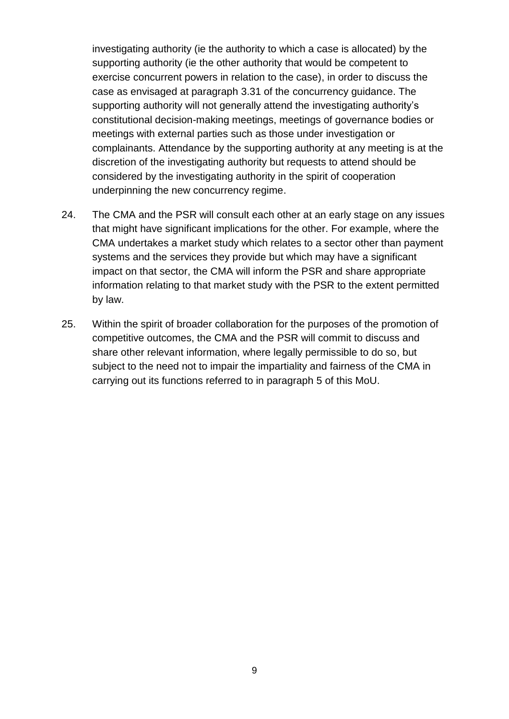investigating authority (ie the authority to which a case is allocated) by the supporting authority (ie the other authority that would be competent to exercise concurrent powers in relation to the case), in order to discuss the case as envisaged at paragraph 3.31 of the concurrency guidance. The supporting authority will not generally attend the investigating authority's constitutional decision-making meetings, meetings of governance bodies or meetings with external parties such as those under investigation or complainants. Attendance by the supporting authority at any meeting is at the discretion of the investigating authority but requests to attend should be considered by the investigating authority in the spirit of cooperation underpinning the new concurrency regime.

- <span id="page-8-0"></span>24. The CMA and the PSR will consult each other at an early stage on any issues that might have significant implications for the other. For example, where the CMA undertakes a market study which relates to a sector other than payment systems and the services they provide but which may have a significant impact on that sector, the CMA will inform the PSR and share appropriate information relating to that market study with the PSR to the extent permitted by law.
- 25. Within the spirit of broader collaboration for the purposes of the promotion of competitive outcomes, the CMA and the PSR will commit to discuss and share other relevant information, where legally permissible to do so, but subject to the need not to impair the impartiality and fairness of the CMA in carrying out its functions referred to in paragraph [5](#page-4-0) of this MoU.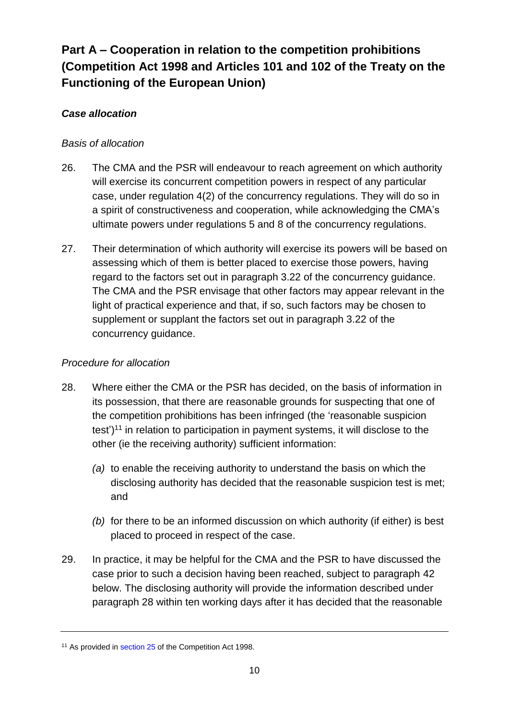# <span id="page-9-0"></span>**Part A – Cooperation in relation to the competition prohibitions (Competition Act 1998 and Articles 101 and 102 of the Treaty on the Functioning of the European Union)**

# *Case allocation*

## *Basis of allocation*

- 26. The CMA and the PSR will endeavour to reach agreement on which authority will exercise its concurrent competition powers in respect of any particular case, under regulation 4(2) of the concurrency regulations. They will do so in a spirit of constructiveness and cooperation, while acknowledging the CMA's ultimate powers under regulations 5 and 8 of the concurrency regulations.
- 27. Their determination of which authority will exercise its powers will be based on assessing which of them is better placed to exercise those powers, having regard to the factors set out in paragraph 3.22 of the concurrency guidance. The CMA and the PSR envisage that other factors may appear relevant in the light of practical experience and that, if so, such factors may be chosen to supplement or supplant the factors set out in paragraph 3.22 of the concurrency guidance.

## *Procedure for allocation*

- <span id="page-9-1"></span>28. Where either the CMA or the PSR has decided, on the basis of information in its possession, that there are reasonable grounds for suspecting that one of the competition prohibitions has been infringed (the 'reasonable suspicion test')<sup>11</sup> in relation to participation in payment systems, it will disclose to the other (ie the receiving authority) sufficient information:
	- *(a)* to enable the receiving authority to understand the basis on which the disclosing authority has decided that the reasonable suspicion test is met; and
	- *(b)* for there to be an informed discussion on which authority (if either) is best placed to proceed in respect of the case.
- 29. In practice, it may be helpful for the CMA and the PSR to have discussed the case prior to such a decision having been reached, subject to paragraph [42](#page-12-0) below. The disclosing authority will provide the information described under paragraph 28 within ten working days after it has decided that the reasonable

<sup>&</sup>lt;sup>11</sup> As provided i[n section](http://www.legislation.gov.uk/ukpga/1998/41/section/25) 25 of the Competition Act 1998.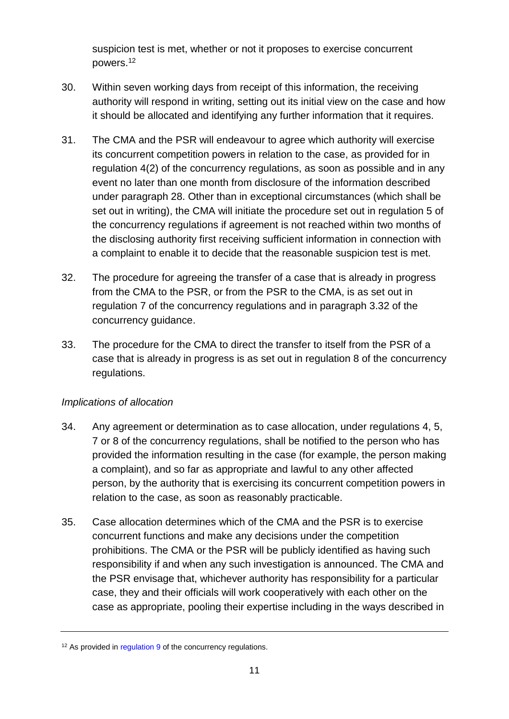<span id="page-10-1"></span>suspicion test is met, whether or not it proposes to exercise concurrent powers.<sup>12</sup>

- 30. Within seven working days from receipt of this information, the receiving authority will respond in writing, setting out its initial view on the case and how it should be allocated and identifying any further information that it requires.
- 31. The CMA and the PSR will endeavour to agree which authority will exercise its concurrent competition powers in relation to the case, as provided for in regulation 4(2) of the concurrency regulations, as soon as possible and in any event no later than one month from disclosure of the information described under paragraph 28. Other than in exceptional circumstances (which shall be set out in writing), the CMA will initiate the procedure set out in regulation 5 of the concurrency regulations if agreement is not reached within two months of the disclosing authority first receiving sufficient information in connection with a complaint to enable it to decide that the reasonable suspicion test is met.
- 32. The procedure for agreeing the transfer of a case that is already in progress from the CMA to the PSR, or from the PSR to the CMA, is as set out in regulation 7 of the concurrency regulations and in paragraph 3.32 of the concurrency guidance.
- <span id="page-10-0"></span>33. The procedure for the CMA to direct the transfer to itself from the PSR of a case that is already in progress is as set out in regulation 8 of the concurrency regulations.

## *Implications of allocation*

- 34. Any agreement or determination as to case allocation, under regulations 4, 5, 7 or 8 of the concurrency regulations, shall be notified to the person who has provided the information resulting in the case (for example, the person making a complaint), and so far as appropriate and lawful to any other affected person, by the authority that is exercising its concurrent competition powers in relation to the case, as soon as reasonably practicable.
- 35. Case allocation determines which of the CMA and the PSR is to exercise concurrent functions and make any decisions under the competition prohibitions. The CMA or the PSR will be publicly identified as having such responsibility if and when any such investigation is announced. The CMA and the PSR envisage that, whichever authority has responsibility for a particular case, they and their officials will work cooperatively with each other on the case as appropriate, pooling their expertise including in the ways described in

<sup>&</sup>lt;sup>12</sup> As provided i[n regulation 9](http://www.legislation.gov.uk/uksi/2014/536/pdfs/uksi_20140536_en.pdf) of the concurrency regulations.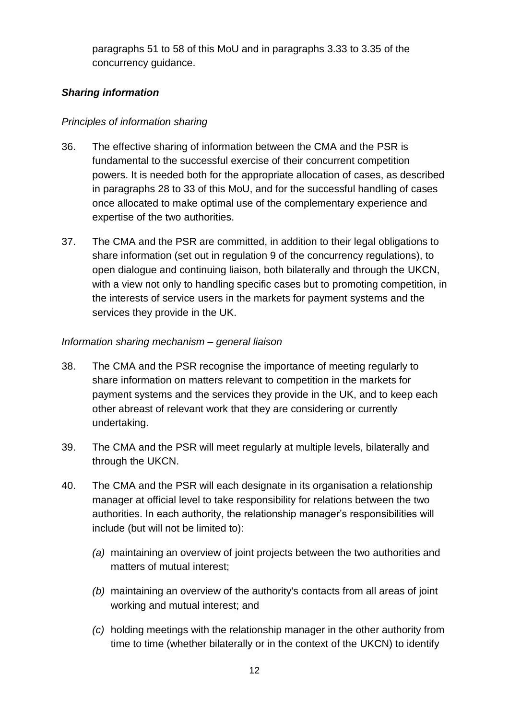paragraphs [51](#page-15-0) to [58](#page-16-0) of this MoU and in paragraphs 3.33 to 3.35 of the concurrency guidance.

# *Sharing information*

# *Principles of information sharing*

- 36. The effective sharing of information between the CMA and the PSR is fundamental to the successful exercise of their concurrent competition powers. It is needed both for the appropriate allocation of cases, as described in paragraphs [28](#page-9-1) to [33](#page-10-0) of this MoU, and for the successful handling of cases once allocated to make optimal use of the complementary experience and expertise of the two authorities.
- <span id="page-11-0"></span>37. The CMA and the PSR are committed, in addition to their legal obligations to share information (set out in regulation 9 of the concurrency regulations), to open dialogue and continuing liaison, both bilaterally and through the UKCN, with a view not only to handling specific cases but to promoting competition, in the interests of service users in the markets for payment systems and the services they provide in the UK.

## *Information sharing mechanism – general liaison*

- 38. The CMA and the PSR recognise the importance of meeting regularly to share information on matters relevant to competition in the markets for payment systems and the services they provide in the UK, and to keep each other abreast of relevant work that they are considering or currently undertaking.
- <span id="page-11-1"></span>39. The CMA and the PSR will meet regularly at multiple levels, bilaterally and through the UKCN.
- 40. The CMA and the PSR will each designate in its organisation a relationship manager at official level to take responsibility for relations between the two authorities. In each authority, the relationship manager's responsibilities will include (but will not be limited to):
	- *(a)* maintaining an overview of joint projects between the two authorities and matters of mutual interest;
	- *(b)* maintaining an overview of the authority's contacts from all areas of joint working and mutual interest; and
	- *(c)* holding meetings with the relationship manager in the other authority from time to time (whether bilaterally or in the context of the UKCN) to identify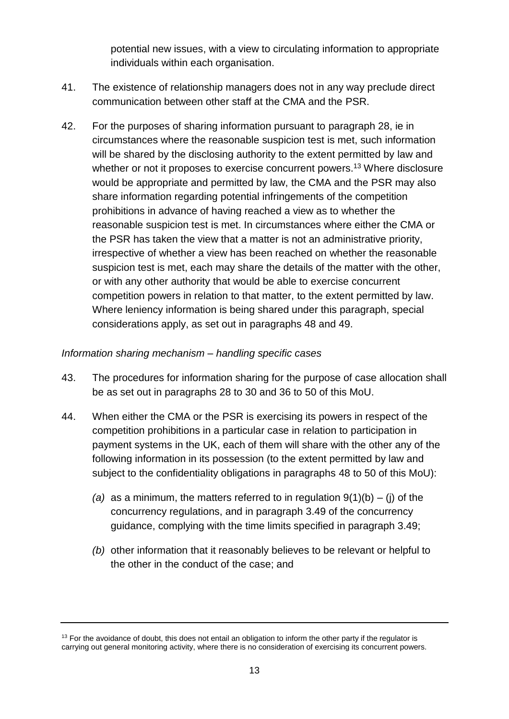potential new issues, with a view to circulating information to appropriate individuals within each organisation.

- 41. The existence of relationship managers does not in any way preclude direct communication between other staff at the CMA and the PSR.
- 42. For the purposes of sharing information pursuant to paragraph [28,](#page-9-1) ie in circumstances where the reasonable suspicion test is met, such information will be shared by the disclosing authority to the extent permitted by law and whether or not it proposes to exercise concurrent powers.<sup>13</sup> Where disclosure would be appropriate and permitted by law, the CMA and the PSR may also share information regarding potential infringements of the competition prohibitions in advance of having reached a view as to whether the reasonable suspicion test is met. In circumstances where either the CMA or the PSR has taken the view that a matter is not an administrative priority, irrespective of whether a view has been reached on whether the reasonable suspicion test is met, each may share the details of the matter with the other, or with any other authority that would be able to exercise concurrent competition powers in relation to that matter, to the extent permitted by law. Where leniency information is being shared under this paragraph, special considerations apply, as set out in paragraphs [48](#page-13-0) and [49.](#page-14-0)

### <span id="page-12-0"></span>*Information sharing mechanism – handling specific cases*

- 43. The procedures for information sharing for the purpose of case allocation shall be as set out in paragraphs [28](#page-9-1) to [30](#page-10-1) and [36](#page-11-0) to [50](#page-14-1) of this MoU.
- <span id="page-12-2"></span><span id="page-12-1"></span>44. When either the CMA or the PSR is exercising its powers in respect of the competition prohibitions in a particular case in relation to participation in payment systems in the UK, each of them will share with the other any of the following information in its possession (to the extent permitted by law and subject to the confidentiality obligations in paragraphs [48](#page-13-0) to [50](#page-14-1) of this MoU):
	- *(a)* as a minimum, the matters referred to in regulation  $9(1)(b) (i)$  of the concurrency regulations, and in paragraph 3.49 of the concurrency guidance, complying with the time limits specified in paragraph 3.49;
	- *(b)* other information that it reasonably believes to be relevant or helpful to the other in the conduct of the case; and

 $13$  For the avoidance of doubt, this does not entail an obligation to inform the other party if the regulator is carrying out general monitoring activity, where there is no consideration of exercising its concurrent powers.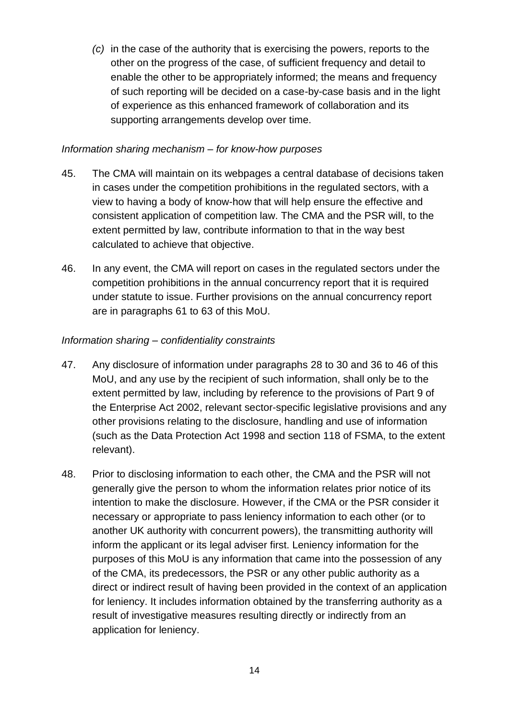*(c)* in the case of the authority that is exercising the powers, reports to the other on the progress of the case, of sufficient frequency and detail to enable the other to be appropriately informed; the means and frequency of such reporting will be decided on a case-by-case basis and in the light of experience as this enhanced framework of collaboration and its supporting arrangements develop over time.

#### *Information sharing mechanism – for know-how purposes*

- 45. The CMA will maintain on its webpages a central database of decisions taken in cases under the competition prohibitions in the regulated sectors, with a view to having a body of know-how that will help ensure the effective and consistent application of competition law. The CMA and the PSR will, to the extent permitted by law, contribute information to that in the way best calculated to achieve that objective.
- 46. In any event, the CMA will report on cases in the regulated sectors under the competition prohibitions in the annual concurrency report that it is required under statute to issue. Further provisions on the annual concurrency report are in paragraphs [61](#page-17-0) to [63](#page-17-1) of this MoU.

#### <span id="page-13-1"></span>*Information sharing – confidentiality constraints*

- 47. Any disclosure of information under paragraphs [28](#page-9-1) to [30](#page-10-1) and [36](#page-11-0) to [46](#page-13-1) of this MoU, and any use by the recipient of such information, shall only be to the extent permitted by law, including by reference to the provisions of Part 9 of the Enterprise Act 2002, relevant sector-specific legislative provisions and any other provisions relating to the disclosure, handling and use of information (such as the Data Protection Act 1998 and section 118 of FSMA, to the extent relevant).
- <span id="page-13-2"></span><span id="page-13-0"></span>48. Prior to disclosing information to each other, the CMA and the PSR will not generally give the person to whom the information relates prior notice of its intention to make the disclosure. However, if the CMA or the PSR consider it necessary or appropriate to pass leniency information to each other (or to another UK authority with concurrent powers), the transmitting authority will inform the applicant or its legal adviser first. Leniency information for the purposes of this MoU is any information that came into the possession of any of the CMA, its predecessors, the PSR or any other public authority as a direct or indirect result of having been provided in the context of an application for leniency. It includes information obtained by the transferring authority as a result of investigative measures resulting directly or indirectly from an application for leniency.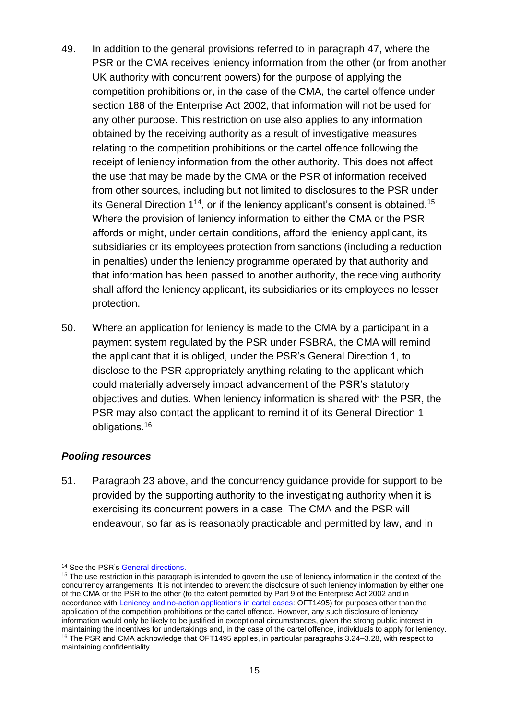- <span id="page-14-0"></span>49. In addition to the general provisions referred to in paragraph [47,](#page-13-2) where the PSR or the CMA receives leniency information from the other (or from another UK authority with concurrent powers) for the purpose of applying the competition prohibitions or, in the case of the CMA, the cartel offence under section 188 of the Enterprise Act 2002, that information will not be used for any other purpose. This restriction on use also applies to any information obtained by the receiving authority as a result of investigative measures relating to the competition prohibitions or the cartel offence following the receipt of leniency information from the other authority. This does not affect the use that may be made by the CMA or the PSR of information received from other sources, including but not limited to disclosures to the PSR under its General Direction 1<sup>14</sup>, or if the leniency applicant's consent is obtained.<sup>15</sup> Where the provision of leniency information to either the CMA or the PSR affords or might, under certain conditions, afford the leniency applicant, its subsidiaries or its employees protection from sanctions (including a reduction in penalties) under the leniency programme operated by that authority and that information has been passed to another authority, the receiving authority shall afford the leniency applicant, its subsidiaries or its employees no lesser protection.
- 50. Where an application for leniency is made to the CMA by a participant in a payment system regulated by the PSR under FSBRA, the CMA will remind the applicant that it is obliged, under the PSR's General Direction 1, to disclose to the PSR appropriately anything relating to the applicant which could materially adversely impact advancement of the PSR's statutory objectives and duties. When leniency information is shared with the PSR, the PSR may also contact the applicant to remind it of its General Direction 1 obligations.<sup>16</sup>

#### <span id="page-14-1"></span>*Pooling resources*

51. Paragraph [23](#page-8-0) above, and the concurrency guidance provide for support to be provided by the supporting authority to the investigating authority when it is exercising its concurrent powers in a case. The CMA and the PSR will endeavour, so far as is reasonably practicable and permitted by law, and in

<sup>&</sup>lt;sup>14</sup> See the PSR's [General directions.](https://www.psr.org.uk/psr-general-directions)

 $15$  The use restriction in this paragraph is intended to govern the use of leniency information in the context of the concurrency arrangements. It is not intended to prevent the disclosure of such leniency information by either one of the CMA or the PSR to the other (to the extent permitted by Part 9 of the Enterprise Act 2002 and in accordance wit[h Leniency and no-action applications in cartel cases:](https://www.gov.uk/government/publications/leniency-and-no-action-applications-in-cartel-cases) OFT1495) for purposes other than the application of the competition prohibitions or the cartel offence. However, any such disclosure of leniency information would only be likely to be justified in exceptional circumstances, given the strong public interest in maintaining the incentives for undertakings and, in the case of the cartel offence, individuals to apply for leniency. <sup>16</sup> The PSR and CMA acknowledge that OFT1495 applies, in particular paragraphs 3.24–3.28, with respect to maintaining confidentiality.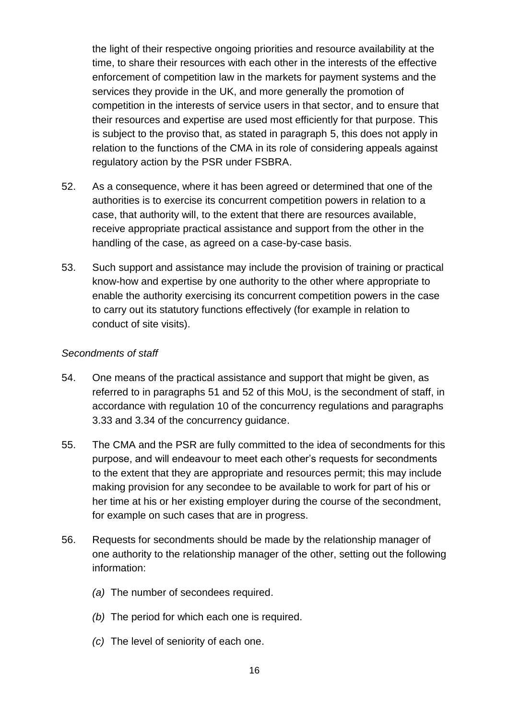<span id="page-15-0"></span>the light of their respective ongoing priorities and resource availability at the time, to share their resources with each other in the interests of the effective enforcement of competition law in the markets for payment systems and the services they provide in the UK, and more generally the promotion of competition in the interests of service users in that sector, and to ensure that their resources and expertise are used most efficiently for that purpose. This is subject to the proviso that, as stated in paragraph [5,](#page-4-0) this does not apply in relation to the functions of the CMA in its role of considering appeals against regulatory action by the PSR under FSBRA.

- 52. As a consequence, where it has been agreed or determined that one of the authorities is to exercise its concurrent competition powers in relation to a case, that authority will, to the extent that there are resources available, receive appropriate practical assistance and support from the other in the handling of the case, as agreed on a case-by-case basis.
- <span id="page-15-1"></span>53. Such support and assistance may include the provision of training or practical know-how and expertise by one authority to the other where appropriate to enable the authority exercising its concurrent competition powers in the case to carry out its statutory functions effectively (for example in relation to conduct of site visits).

#### *Secondments of staff*

- 54. One means of the practical assistance and support that might be given, as referred to in paragraphs [51](#page-15-0) and [52](#page-15-1) of this MoU, is the secondment of staff, in accordance with regulation 10 of the concurrency regulations and paragraphs 3.33 and 3.34 of the concurrency guidance.
- 55. The CMA and the PSR are fully committed to the idea of secondments for this purpose, and will endeavour to meet each other's requests for secondments to the extent that they are appropriate and resources permit; this may include making provision for any secondee to be available to work for part of his or her time at his or her existing employer during the course of the secondment, for example on such cases that are in progress.
- <span id="page-15-2"></span>56. Requests for secondments should be made by the relationship manager of one authority to the relationship manager of the other, setting out the following information:
	- *(a)* The number of secondees required.
	- *(b)* The period for which each one is required.
	- *(c)* The level of seniority of each one.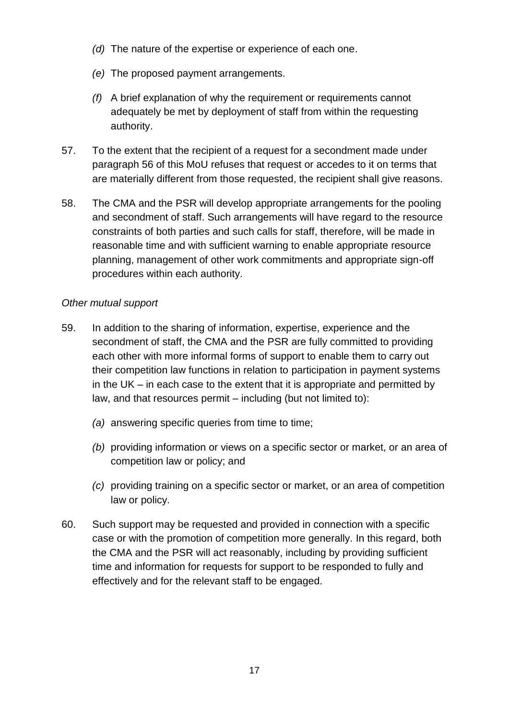- *(d)* The nature of the expertise or experience of each one.
- *(e)* The proposed payment arrangements.
- *(f)* A brief explanation of why the requirement or requirements cannot adequately be met by deployment of staff from within the requesting authority.
- 57. To the extent that the recipient of a request for a secondment made under paragraph [56](#page-15-2) of this MoU refuses that request or accedes to it on terms that are materially different from those requested, the recipient shall give reasons.
- 58. The CMA and the PSR will develop appropriate arrangements for the pooling and secondment of staff. Such arrangements will have regard to the resource constraints of both parties and such calls for staff, therefore, will be made in reasonable time and with sufficient warning to enable appropriate resource planning, management of other work commitments and appropriate sign-off procedures within each authority.

#### <span id="page-16-0"></span>*Other mutual support*

- 59. In addition to the sharing of information, expertise, experience and the secondment of staff, the CMA and the PSR are fully committed to providing each other with more informal forms of support to enable them to carry out their competition law functions in relation to participation in payment systems in the UK – in each case to the extent that it is appropriate and permitted by law, and that resources permit – including (but not limited to):
	- *(a)* answering specific queries from time to time;
	- *(b)* providing information or views on a specific sector or market, or an area of competition law or policy; and
	- *(c)* providing training on a specific sector or market, or an area of competition law or policy.
- 60. Such support may be requested and provided in connection with a specific case or with the promotion of competition more generally. In this regard, both the CMA and the PSR will act reasonably, including by providing sufficient time and information for requests for support to be responded to fully and effectively and for the relevant staff to be engaged.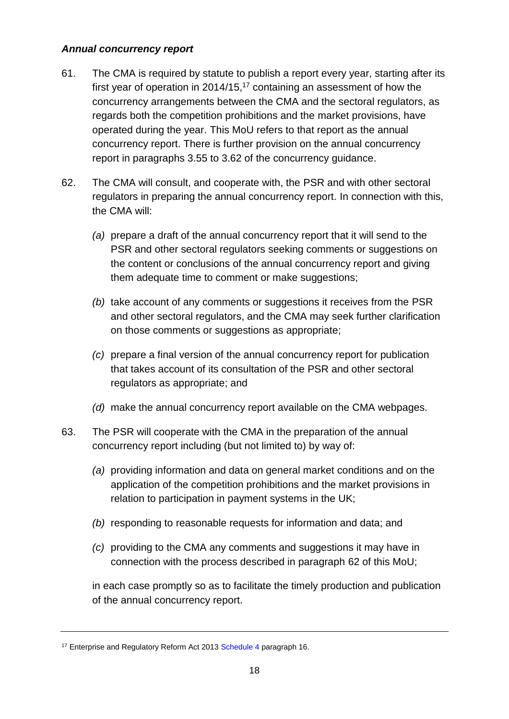#### *Annual concurrency report*

- 61. The CMA is required by statute to publish a report every year, starting after its first year of operation in 2014/15,<sup>17</sup> containing an assessment of how the concurrency arrangements between the CMA and the sectoral regulators, as regards both the competition prohibitions and the market provisions, have operated during the year. This MoU refers to that report as the annual concurrency report. There is further provision on the annual concurrency report in paragraphs 3.55 to 3.62 of the concurrency guidance.
- <span id="page-17-2"></span><span id="page-17-0"></span>62. The CMA will consult, and cooperate with, the PSR and with other sectoral regulators in preparing the annual concurrency report. In connection with this, the CMA will:
	- *(a)* prepare a draft of the annual concurrency report that it will send to the PSR and other sectoral regulators seeking comments or suggestions on the content or conclusions of the annual concurrency report and giving them adequate time to comment or make suggestions;
	- *(b)* take account of any comments or suggestions it receives from the PSR and other sectoral regulators, and the CMA may seek further clarification on those comments or suggestions as appropriate;
	- *(c)* prepare a final version of the annual concurrency report for publication that takes account of its consultation of the PSR and other sectoral regulators as appropriate; and
	- *(d)* make the annual concurrency report available on the CMA webpages.
- <span id="page-17-1"></span>63. The PSR will cooperate with the CMA in the preparation of the annual concurrency report including (but not limited to) by way of:
	- *(a)* providing information and data on general market conditions and on the application of the competition prohibitions and the market provisions in relation to participation in payment systems in the UK;
	- *(b)* responding to reasonable requests for information and data; and
	- *(c)* providing to the CMA any comments and suggestions it may have in connection with the process described in paragraph [62](#page-17-2) of this MoU;

in each case promptly so as to facilitate the timely production and publication of the annual concurrency report.

<sup>&</sup>lt;sup>17</sup> Enterprise and Regulatory Reform Act 2013 [Schedule 4](http://www.legislation.gov.uk/ukpga/2013/24/schedule/4/enacted) paragraph 16.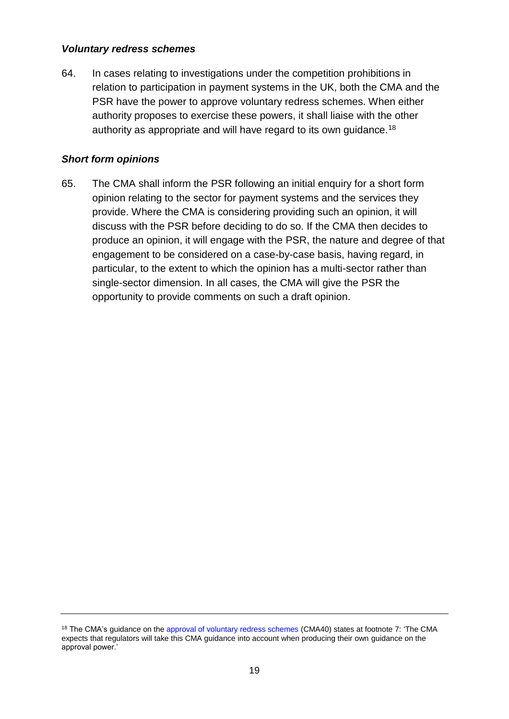#### *Voluntary redress schemes*

64. In cases relating to investigations under the competition prohibitions in relation to participation in payment systems in the UK, both the CMA and the PSR have the power to approve voluntary redress schemes. When either authority proposes to exercise these powers, it shall liaise with the other authority as appropriate and will have regard to its own guidance.<sup>18</sup>

#### *Short form opinions*

65. The CMA shall inform the PSR following an initial enquiry for a short form opinion relating to the sector for payment systems and the services they provide. Where the CMA is considering providing such an opinion, it will discuss with the PSR before deciding to do so. If the CMA then decides to produce an opinion, it will engage with the PSR, the nature and degree of that engagement to be considered on a case-by-case basis, having regard, in particular, to the extent to which the opinion has a multi-sector rather than single-sector dimension. In all cases, the CMA will give the PSR the opportunity to provide comments on such a draft opinion.

<sup>&</sup>lt;sup>18</sup> The CMA's guidance on th[e approval of voluntary redress schemes](https://www.gov.uk/government/publications/approval-of-redress-schemes-for-competition-law-infringements) (CMA40) states at footnote 7: 'The CMA expects that regulators will take this CMA guidance into account when producing their own guidance on the approval power.'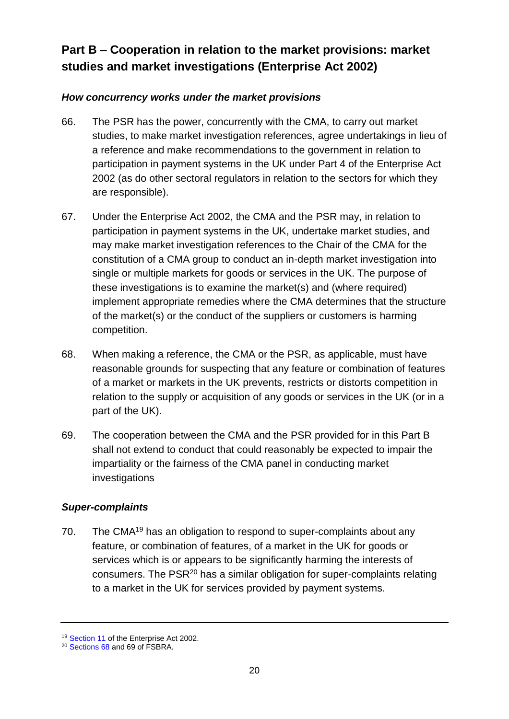# <span id="page-19-0"></span>**Part B – Cooperation in relation to the market provisions: market studies and market investigations (Enterprise Act 2002)**

# *How concurrency works under the market provisions*

- 66. The PSR has the power, concurrently with the CMA, to carry out market studies, to make market investigation references, agree undertakings in lieu of a reference and make recommendations to the government in relation to participation in payment systems in the UK under Part 4 of the Enterprise Act 2002 (as do other sectoral regulators in relation to the sectors for which they are responsible).
- 67. Under the Enterprise Act 2002, the CMA and the PSR may, in relation to participation in payment systems in the UK, undertake market studies, and may make market investigation references to the Chair of the CMA for the constitution of a CMA group to conduct an in-depth market investigation into single or multiple markets for goods or services in the UK. The purpose of these investigations is to examine the market(s) and (where required) implement appropriate remedies where the CMA determines that the structure of the market(s) or the conduct of the suppliers or customers is harming competition.
- 68. When making a reference, the CMA or the PSR, as applicable, must have reasonable grounds for suspecting that any feature or combination of features of a market or markets in the UK prevents, restricts or distorts competition in relation to the supply or acquisition of any goods or services in the UK (or in a part of the UK).
- 69. The cooperation between the CMA and the PSR provided for in this Part B shall not extend to conduct that could reasonably be expected to impair the impartiality or the fairness of the CMA panel in conducting market investigations

# *Super-complaints*

70. The CMA<sup>19</sup> has an obligation to respond to super-complaints about any feature, or combination of features, of a market in the UK for goods or services which is or appears to be significantly harming the interests of consumers. The PSR<sup>20</sup> has a similar obligation for super-complaints relating to a market in the UK for services provided by payment systems.

<sup>&</sup>lt;sup>19</sup> [Section 11](http://www.legislation.gov.uk/ukpga/2002/40/section/11) of the Enterprise Act 2002.

<sup>20</sup> [Sections 68](http://www.legislation.gov.uk/ukpga/2013/33/section/68/enacted) and 69 of FSBRA.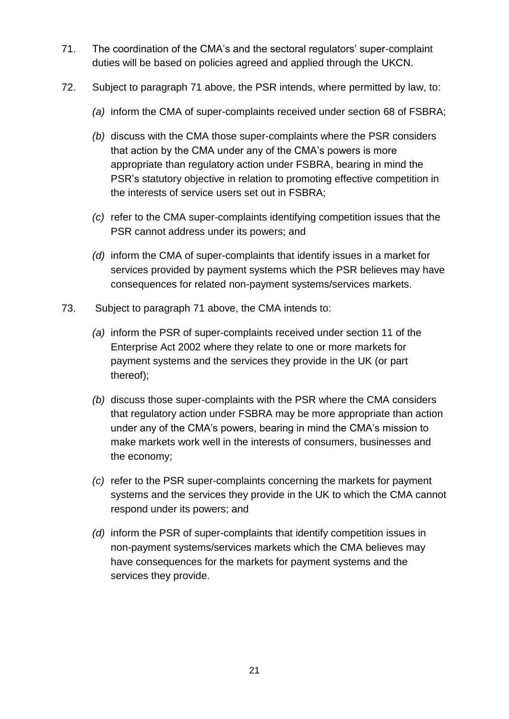- <span id="page-20-0"></span>71. The coordination of the CMA's and the sectoral regulators' super-complaint duties will be based on policies agreed and applied through the UKCN.
- 72. Subject to paragraph [71](#page-20-0) above, the PSR intends, where permitted by law, to:
	- *(a)* inform the CMA of super-complaints received under section 68 of FSBRA;
	- *(b)* discuss with the CMA those super-complaints where the PSR considers that action by the CMA under any of the CMA's powers is more appropriate than regulatory action under FSBRA, bearing in mind the PSR's statutory objective in relation to promoting effective competition in the interests of service users set out in FSBRA;
	- *(c)* refer to the CMA super-complaints identifying competition issues that the PSR cannot address under its powers; and
	- *(d)* inform the CMA of super-complaints that identify issues in a market for services provided by payment systems which the PSR believes may have consequences for related non-payment systems/services markets.
- 73. Subject to paragraph [71](#page-20-0) above, the CMA intends to:
	- *(a)* inform the PSR of super-complaints received under section 11 of the Enterprise Act 2002 where they relate to one or more markets for payment systems and the services they provide in the UK (or part thereof);
	- *(b)* discuss those super-complaints with the PSR where the CMA considers that regulatory action under FSBRA may be more appropriate than action under any of the CMA's powers, bearing in mind the CMA's mission to make markets work well in the interests of consumers, businesses and the economy;
	- *(c)* refer to the PSR super-complaints concerning the markets for payment systems and the services they provide in the UK to which the CMA cannot respond under its powers; and
	- *(d)* inform the PSR of super-complaints that identify competition issues in non-payment systems/services markets which the CMA believes may have consequences for the markets for payment systems and the services they provide.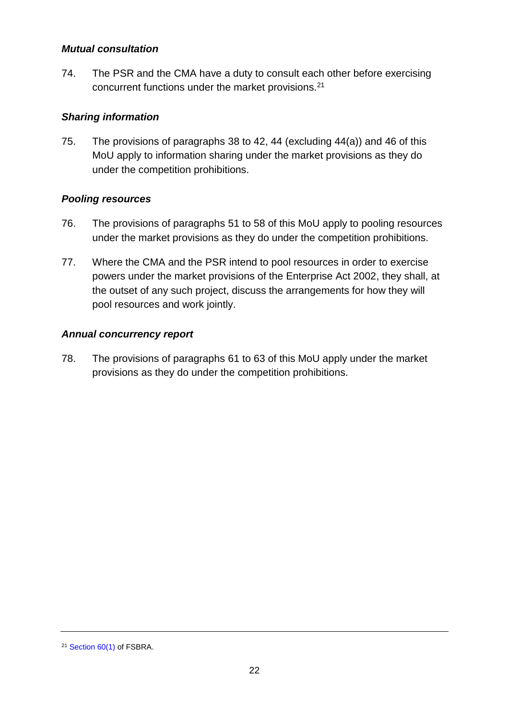#### *Mutual consultation*

74. The PSR and the CMA have a duty to consult each other before exercising concurrent functions under the market provisions.<sup>21</sup>

#### *Sharing information*

75. The provisions of paragraphs [38](#page-11-1) to [42,](#page-12-0) [44](#page-12-1) (excluding [44\(a\)\)](#page-12-2) and [46](#page-13-1) of this MoU apply to information sharing under the market provisions as they do under the competition prohibitions.

#### *Pooling resources*

- 76. The provisions of paragraphs [51](#page-15-0) to [58](#page-16-0) of this MoU apply to pooling resources under the market provisions as they do under the competition prohibitions.
- 77. Where the CMA and the PSR intend to pool resources in order to exercise powers under the market provisions of the Enterprise Act 2002, they shall, at the outset of any such project, discuss the arrangements for how they will pool resources and work jointly.

#### *Annual concurrency report*

78. The provisions of paragraphs [61](#page-17-0) to [63](#page-17-1) of this MoU apply under the market provisions as they do under the competition prohibitions.

<sup>21</sup> [Section 60\(1\)](http://www.legislation.gov.uk/ukpga/2013/33/section/60/enacted) of FSBRA.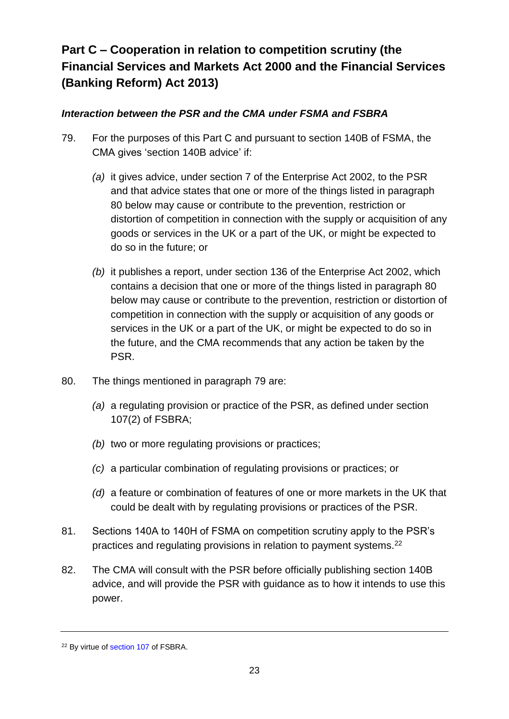# <span id="page-22-0"></span>**Part C – Cooperation in relation to competition scrutiny (the Financial Services and Markets Act 2000 and the Financial Services (Banking Reform) Act 2013)**

# *Interaction between the PSR and the CMA under FSMA and FSBRA*

- <span id="page-22-2"></span>79. For the purposes of this Part C and pursuant to section 140B of FSMA, the CMA gives 'section 140B advice' if:
	- *(a)* it gives advice, under section 7 of the Enterprise Act 2002, to the PSR and that advice states that one or more of the things listed in paragraph [80](#page-22-1) below may cause or contribute to the prevention, restriction or distortion of competition in connection with the supply or acquisition of any goods or services in the UK or a part of the UK, or might be expected to do so in the future; or
	- *(b)* it publishes a report, under section 136 of the Enterprise Act 2002, which contains a decision that one or more of the things listed in paragraph [80](#page-22-1) below may cause or contribute to the prevention, restriction or distortion of competition in connection with the supply or acquisition of any goods or services in the UK or a part of the UK, or might be expected to do so in the future, and the CMA recommends that any action be taken by the PSR.
- <span id="page-22-1"></span>80. The things mentioned in paragraph [79](#page-22-2) are:
	- *(a)* a regulating provision or practice of the PSR, as defined under section 107(2) of FSBRA;
	- *(b)* two or more regulating provisions or practices;
	- *(c)* a particular combination of regulating provisions or practices; or
	- *(d)* a feature or combination of features of one or more markets in the UK that could be dealt with by regulating provisions or practices of the PSR.
- 81. Sections 140A to 140H of FSMA on competition scrutiny apply to the PSR's practices and regulating provisions in relation to payment systems.<sup>22</sup>
- 82. The CMA will consult with the PSR before officially publishing section 140B advice, and will provide the PSR with guidance as to how it intends to use this power.

<sup>&</sup>lt;sup>22</sup> By virtue o[f section 107](http://www.legislation.gov.uk/ukpga/2013/33/section/107/enacted) of FSBRA.